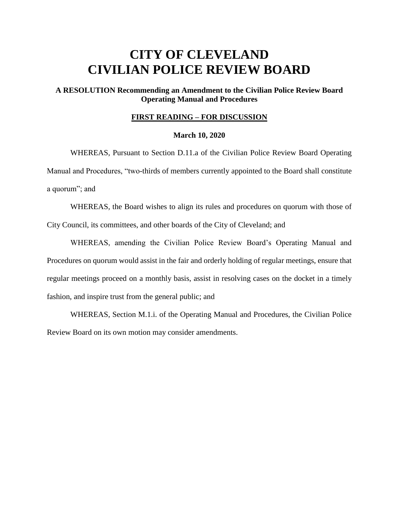# **CITY OF CLEVELAND CIVILIAN POLICE REVIEW BOARD**

## **A RESOLUTION Recommending an Amendment to the Civilian Police Review Board Operating Manual and Procedures**

### **FIRST READING – FOR DISCUSSION**

#### **March 10, 2020**

WHEREAS, Pursuant to Section D.11.a of the Civilian Police Review Board Operating Manual and Procedures, "two-thirds of members currently appointed to the Board shall constitute a quorum"; and

WHEREAS, the Board wishes to align its rules and procedures on quorum with those of City Council, its committees, and other boards of the City of Cleveland; and

WHEREAS, amending the Civilian Police Review Board's Operating Manual and Procedures on quorum would assist in the fair and orderly holding of regular meetings, ensure that regular meetings proceed on a monthly basis, assist in resolving cases on the docket in a timely fashion, and inspire trust from the general public; and

WHEREAS, Section M.1.i. of the Operating Manual and Procedures, the Civilian Police Review Board on its own motion may consider amendments.